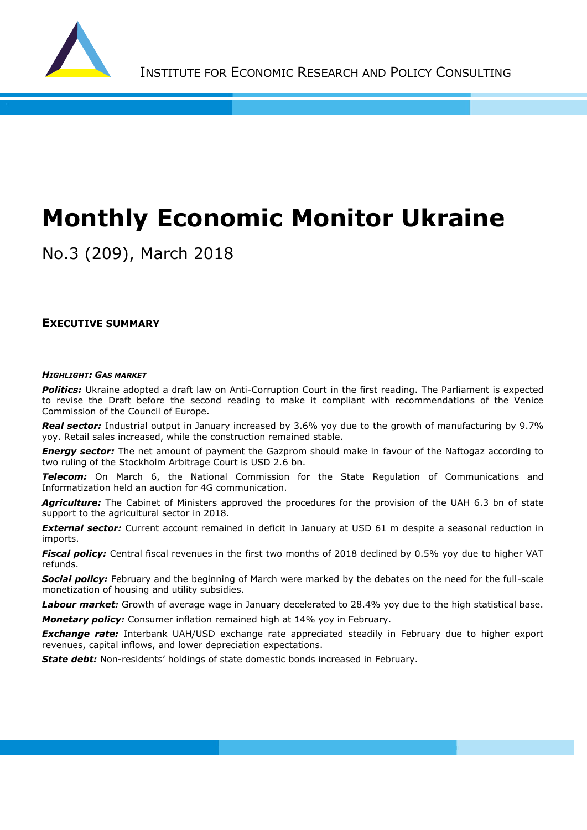

# **Monthly Economic Monitor Ukraine**

No.3 (209), March 2018

#### **EXECUTIVE SUMMARY**

#### *HIGHLIGHT: GAS MARKET*

*Politics:* Ukraine adopted a draft law on Anti-Corruption Court in the first reading. The Parliament is expected to revise the Draft before the second reading to make it compliant with recommendations of the Venice Commission of the Council of Europe.

*Real sector:* Industrial output in January increased by 3.6% yoy due to the growth of manufacturing by 9.7% yoy. Retail sales increased, while the construction remained stable.

*Energy sector:* The net amount of payment the Gazprom should make in favour of the Naftogaz according to two ruling of the Stockholm Arbitrage Court is USD 2.6 bn.

*Telecom:* On March 6, the National Commission for the State Regulation of Communications and Informatization held an auction for 4G communication.

**Agriculture:** The Cabinet of Ministers approved the procedures for the provision of the UAH 6.3 bn of state support to the agricultural sector in 2018.

*External sector:* Current account remained in deficit in January at USD 61 m despite a seasonal reduction in imports.

**Fiscal policy:** Central fiscal revenues in the first two months of 2018 declined by 0.5% yoy due to higher VAT refunds.

*Social policy:* February and the beginning of March were marked by the debates on the need for the full-scale monetization of housing and utility subsidies.

*Labour market:* Growth of average wage in January decelerated to 28.4% yoy due to the high statistical base. *Monetary policy:* Consumer inflation remained high at 14% yoy in February.

*Exchange rate:* Interbank UAH/USD exchange rate appreciated steadily in February due to higher export revenues, capital inflows, and lower depreciation expectations.

*State debt:* Non-residents' holdings of state domestic bonds increased in February.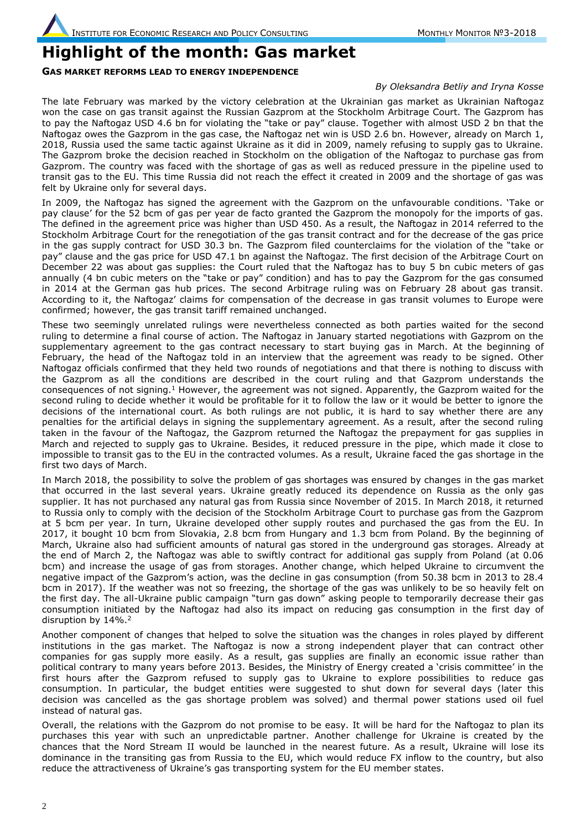### **Highlight of the month: Gas market**

#### **GAS MARKET REFORMS LEAD TO ENERGY INDEPENDENCE**

#### *By Oleksandra Betliy and Iryna Kosse*

The late February was marked by the victory celebration at the Ukrainian gas market as Ukrainian Naftogaz won the case on gas transit against the Russian Gazprom at the Stockholm Arbitrage Court. The Gazprom has to pay the Naftogaz USD 4.6 bn for violating the "take or pay" clause. Together with almost USD 2 bn that the Naftogaz owes the Gazprom in the gas case, the Naftogaz net win is USD 2.6 bn. However, already on March 1, 2018, Russia used the same tactic against Ukraine as it did in 2009, namely refusing to supply gas to Ukraine. The Gazprom broke the decision reached in Stockholm on the obligation of the Naftogaz to purchase gas from Gazprom. The country was faced with the shortage of gas as well as reduced pressure in the pipeline used to transit gas to the EU. This time Russia did not reach the effect it created in 2009 and the shortage of gas was felt by Ukraine only for several days.

In 2009, the Naftogaz has signed the agreement with the Gazprom on the unfavourable conditions. 'Take or pay clause' for the 52 bcm of gas per year de facto granted the Gazprom the monopoly for the imports of gas. The defined in the agreement price was higher than USD 450. As a result, the Naftogaz in 2014 referred to the Stockholm Arbitrage Court for the renegotiation of the gas transit contract and for the decrease of the gas price in the gas supply contract for USD 30.3 bn. The Gazprom filed counterclaims for the violation of the "take or pay" clause and the gas price for USD 47.1 bn against the Naftogaz. The first decision of the Arbitrage Court on December 22 was about gas supplies: the Court ruled that the Naftogaz has to buy 5 bn cubic meters of gas annually (4 bn cubic meters on the "take or pay" condition) and has to pay the Gazprom for the gas consumed in 2014 at the German gas hub prices. The second Arbitrage ruling was on February 28 about gas transit. According to it, the Naftogaz' claims for compensation of the decrease in gas transit volumes to Europe were confirmed; however, the gas transit tariff remained unchanged.

These two seemingly unrelated rulings were nevertheless connected as both parties waited for the second ruling to determine a final course of action. The Naftogaz in January started negotiations with Gazprom on the supplementary agreement to the gas contract necessary to start buying gas in March. At the beginning of February, the head of the Naftogaz told in an interview that the agreement was ready to be signed. Other Naftogaz officials confirmed that they held two rounds of negotiations and that there is nothing to discuss with the Gazprom as all the conditions are described in the court ruling and that Gazprom understands the consequences of not signing.<sup>1</sup> However, the agreement was not signed. Apparently, the Gazprom waited for the second ruling to decide whether it would be profitable for it to follow the law or it would be better to ignore the decisions of the international court. As both rulings are not public, it is hard to say whether there are any penalties for the artificial delays in signing the supplementary agreement. As a result, after the second ruling taken in the favour of the Naftogaz, the Gazprom returned the Naftogaz the prepayment for gas supplies in March and rejected to supply gas to Ukraine. Besides, it reduced pressure in the pipe, which made it close to impossible to transit gas to the EU in the contracted volumes. As a result, Ukraine faced the gas shortage in the first two days of March.

In March 2018, the possibility to solve the problem of gas shortages was ensured by changes in the gas market that occurred in the last several years. Ukraine greatly reduced its dependence on Russia as the only gas supplier. It has not purchased any natural gas from Russia since November of 2015. In March 2018, it returned to Russia only to comply with the decision of the Stockholm Arbitrage Court to purchase gas from the Gazprom at 5 bcm per year. In turn, Ukraine developed other supply routes and purchased the gas from the EU. In 2017, it bought 10 bcm from Slovakia, 2.8 bcm from Hungary and 1.3 bcm from Poland. By the beginning of March, Ukraine also had sufficient amounts of natural gas stored in the underground gas storages. Already at the end of March 2, the Naftogaz was able to swiftly contract for additional gas supply from Poland (at 0.06 bcm) and increase the usage of gas from storages. Another change, which helped Ukraine to circumvent the negative impact of the Gazprom's action, was the decline in gas consumption (from 50.38 bcm in 2013 to 28.4 bcm in 2017). If the weather was not so freezing, the shortage of the gas was unlikely to be so heavily felt on the first day. The all-Ukraine public campaign "turn gas down" asking people to temporarily decrease their gas consumption initiated by the Naftogaz had also its impact on reducing gas consumption in the first day of disruption by 14%.<sup>2</sup>

Another component of changes that helped to solve the situation was the changes in roles played by different institutions in the gas market. The Naftogaz is now a strong independent player that can contract other companies for gas supply more easily. As a result, gas supplies are finally an economic issue rather than political contrary to many years before 2013. Besides, the Ministry of Energy created a 'crisis committee' in the first hours after the Gazprom refused to supply gas to Ukraine to explore possibilities to reduce gas consumption. In particular, the budget entities were suggested to shut down for several days (later this decision was cancelled as the gas shortage problem was solved) and thermal power stations used oil fuel instead of natural gas.

Overall, the relations with the Gazprom do not promise to be easy. It will be hard for the Naftogaz to plan its purchases this year with such an unpredictable partner. Another challenge for Ukraine is created by the chances that the Nord Stream II would be launched in the nearest future. As a result, Ukraine will lose its dominance in the transiting gas from Russia to the EU, which would reduce FX inflow to the country, but also reduce the attractiveness of Ukraine's gas transporting system for the EU member states.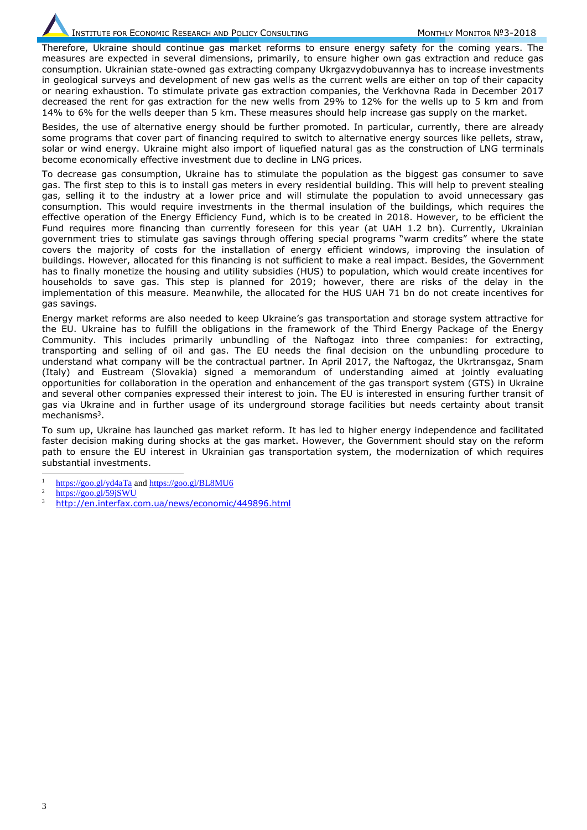Therefore, Ukraine should continue gas market reforms to ensure energy safety for the coming years. The measures are expected in several dimensions, primarily, to ensure higher own gas extraction and reduce gas consumption. Ukrainian state-owned gas extracting company Ukrgazvydobuvannya has to increase investments in geological surveys and development of new gas wells as the current wells are either on top of their capacity or nearing exhaustion. To stimulate private gas extraction companies, the Verkhovna Rada in December 2017 decreased the rent for gas extraction for the new wells from 29% to 12% for the wells up to 5 km and from 14% to 6% for the wells deeper than 5 km. These measures should help increase gas supply on the market.

Besides, the use of alternative energy should be further promoted. In particular, currently, there are already some programs that cover part of financing required to switch to alternative energy sources like pellets, straw, solar or wind energy. Ukraine might also import of liquefied natural gas as the construction of LNG terminals become economically effective investment due to decline in LNG prices.

To decrease gas consumption, Ukraine has to stimulate the population as the biggest gas consumer to save gas. The first step to this is to install gas meters in every residential building. This will help to prevent stealing gas, selling it to the industry at a lower price and will stimulate the population to avoid unnecessary gas consumption. This would require investments in the thermal insulation of the buildings, which requires the effective operation of the Energy Efficiency Fund, which is to be created in 2018. However, to be efficient the Fund requires more financing than currently foreseen for this year (at UAH 1.2 bn). Currently, Ukrainian government tries to stimulate gas savings through offering special programs "warm credits" where the state covers the majority of costs for the installation of energy efficient windows, improving the insulation of buildings. However, allocated for this financing is not sufficient to make a real impact. Besides, the Government has to finally monetize the housing and utility subsidies (HUS) to population, which would create incentives for households to save gas. This step is planned for 2019; however, there are risks of the delay in the implementation of this measure. Meanwhile, the allocated for the HUS UAH 71 bn do not create incentives for gas savings.

Energy market reforms are also needed to keep Ukraine's gas transportation and storage system attractive for the EU. Ukraine has to fulfill the obligations in the framework of the Third Energy Package of the Energy Community. This includes primarily unbundling of the Naftogaz into three companies: for extracting, transporting and selling of oil and gas. The EU needs the final decision on the unbundling procedure to understand what company will be the contractual partner. In April 2017, the Naftogaz, the Ukrtransgaz, Snam (Italy) and Eustream (Slovakia) signed a memorandum of understanding aimed at jointly evaluating opportunities for collaboration in the operation and enhancement of the gas transport system (GTS) in Ukraine and several other companies expressed their interest to join. The EU is interested in ensuring further transit of gas via Ukraine and in further usage of its underground storage facilities but needs certainty about transit mechanisms<sup>3</sup>.

To sum up, Ukraine has launched gas market reform. It has led to higher energy independence and facilitated faster decision making during shocks at the gas market. However, the Government should stay on the reform path to ensure the EU interest in Ukrainian gas transportation system, the modernization of which requires substantial investments.

- $\overline{a}$  $\frac{1}{2}$  <https://goo.gl/yd4aTa> an[d https://goo.gl/BL8MU6](https://goo.gl/BL8MU6)
- <https://goo.gl/59jSWU>
- <http://en.interfax.com.ua/news/economic/449896.html>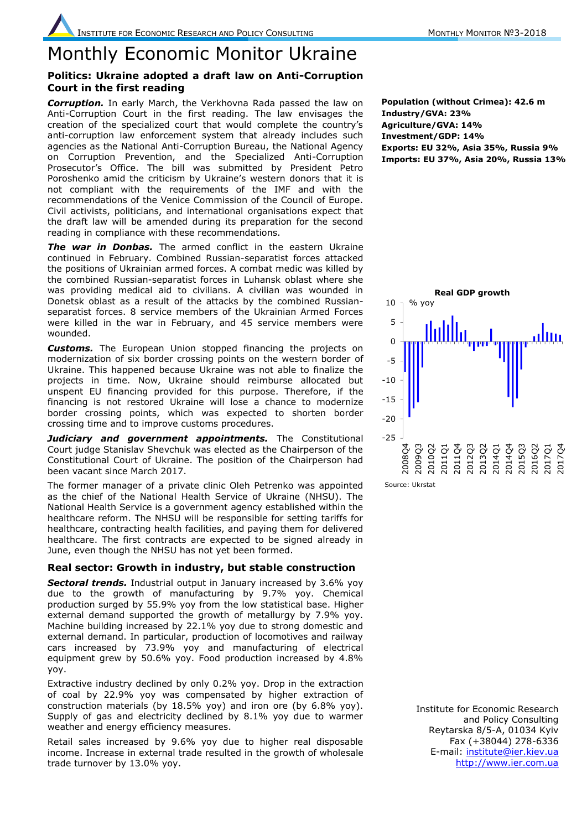### Monthly Economic Monitor Ukraine

#### **Politics: Ukraine adopted a draft law on Anti-Corruption Court in the first reading**

*Corruption.* In early March, the Verkhovna Rada passed the law on Anti-Corruption Court in the first reading. The law envisages the creation of the specialized court that would complete the country's anti-corruption law enforcement system that already includes such agencies as the National Anti-Corruption Bureau, the National Agency on Corruption Prevention, and the Specialized Anti-Corruption Prosecutor's Office. The bill was submitted by President Petro Poroshenko amid the criticism by Ukraine's western donors that it is not compliant with the requirements of the IMF and with the recommendations of the Venice Commission of the Council of Europe. Civil activists, politicians, and international organisations expect that the draft law will be amended during its preparation for the second reading in compliance with these recommendations.

*The war in Donbas.* The armed conflict in the eastern Ukraine continued in February. Combined Russian-separatist forces attacked the positions of Ukrainian armed forces. A combat medic was killed by the combined Russian-separatist forces in Luhansk oblast where she was providing medical aid to civilians. A civilian was wounded in Donetsk oblast as a result of the attacks by the combined Russianseparatist forces. 8 service members of the Ukrainian Armed Forces were killed in the war in February, and 45 service members were wounded.

*Customs.* The European Union stopped financing the projects on modernization of six border crossing points on the western border of Ukraine. This happened because Ukraine was not able to finalize the projects in time. Now, Ukraine should reimburse allocated but unspent EU financing provided for this purpose. Therefore, if the financing is not restored Ukraine will lose a chance to modernize border crossing points, which was expected to shorten border crossing time and to improve customs procedures.

**Judiciary and government appointments.** The Constitutional Court judge Stanislav Shevchuk was elected as the Chairperson of the Constitutional Court of Ukraine. The position of the Chairperson had been vacant since March 2017.

The former manager of a private clinic Oleh Petrenko was appointed as the chief of the National Health Service of Ukraine (NHSU). The National Health Service is a government agency established within the healthcare reform. The NHSU will be responsible for setting tariffs for healthcare, contracting health facilities, and paying them for delivered healthcare. The first contracts are expected to be signed already in June, even though the NHSU has not yet been formed.

#### **Real sector: Growth in industry, but stable construction**

**Sectoral trends.** Industrial output in January increased by 3.6% yoy due to the growth of manufacturing by 9.7% yoy. Chemical production surged by 55.9% yoy from the low statistical base. Higher external demand supported the growth of metallurgy by 7.9% yoy. Machine building increased by 22.1% yoy due to strong domestic and external demand. In particular, production of locomotives and railway cars increased by 73.9% yoy and manufacturing of electrical equipment grew by 50.6% yoy. Food production increased by 4.8% yoy.

Extractive industry declined by only 0.2% yoy. Drop in the extraction of coal by 22.9% yoy was compensated by higher extraction of construction materials (by 18.5% yoy) and iron ore (by 6.8% yoy). Supply of gas and electricity declined by 8.1% yoy due to warmer weather and energy efficiency measures.

Retail sales increased by 9.6% yoy due to higher real disposable income. Increase in external trade resulted in the growth of wholesale trade turnover by 13.0% yoy.

**Population (without Crimea): 42.6 m Industry/GVA: 23% Agriculture/GVA: 14% Investment/GDP: 14% Exports: EU 32%, Asia 35%, Russia 9% Imports: EU 37%, Asia 20%, Russia 13%**



Institute for Economic Research and Policy Consulting Reytarska 8/5-A, 01034 Kyiv Fax (+38044) 278-6336 E-mail: [institute@ier.kiev.ua](mailto:institute@ier.kiev.ua) [http://www.ier.com.ua](http://www.ier.com.ua/)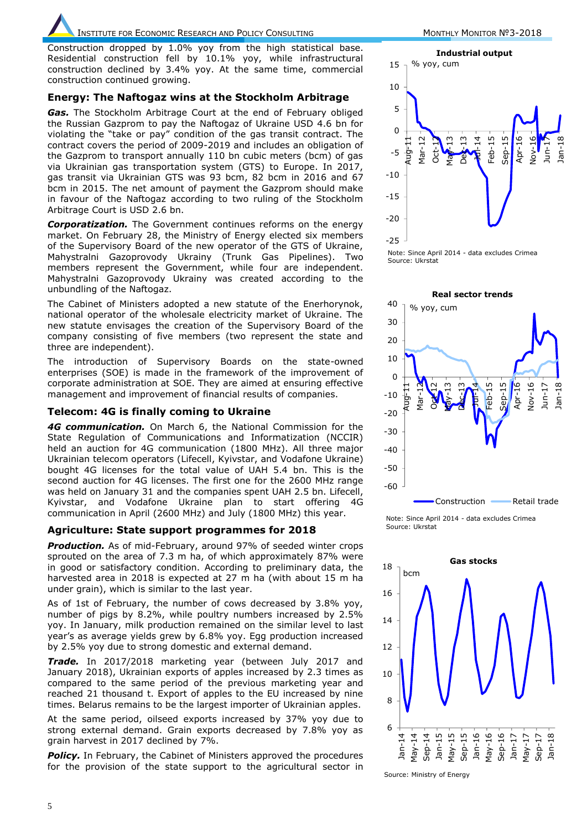## INSTITUTE FOR ECONOMIC RESEARCH AND POLICY CONSULTING MONTHLY MONTHLY MONITOR Nº3-2018

Construction dropped by 1.0% yoy from the high statistical base. Residential construction fell by 10.1% yoy, while infrastructural construction declined by 3.4% yoy. At the same time, commercial construction continued growing.

#### **Energy: The Naftogaz wins at the Stockholm Arbitrage**

*Gas.* The Stockholm Arbitrage Court at the end of February obliged the Russian Gazprom to pay the Naftogaz of Ukraine USD 4.6 bn for violating the "take or pay" condition of the gas transit contract. The contract covers the period of 2009-2019 and includes an obligation of the Gazprom to transport annually 110 bn cubic meters (bcm) of gas via Ukrainian gas transportation system (GTS) to Europe. In 2017, gas transit via Ukrainian GTS was 93 bcm, 82 bcm in 2016 and 67 bcm in 2015. The net amount of payment the Gazprom should make in favour of the Naftogaz according to two ruling of the Stockholm Arbitrage Court is USD 2.6 bn.

*Corporatization.* The Government continues reforms on the energy market. On February 28, the Ministry of Energy elected six members of the Supervisory Board of the new operator of the GTS of Ukraine, Mahystralni Gazoprovody Ukrainy (Trunk Gas Pipelines). Two members represent the Government, while four are independent. Mahystralni Gazoprovody Ukrainy was created according to the unbundling of the Naftogaz.

The Cabinet of Ministers adopted a new statute of the Enerhorynok, national operator of the wholesale electricity market of Ukraine. The new statute envisages the creation of the Supervisory Board of the company consisting of five members (two represent the state and three are independent).

The introduction of Supervisory Boards on the state-owned enterprises (SOE) is made in the framework of the improvement of corporate administration at SOE. They are aimed at ensuring effective management and improvement of financial results of companies.

#### **Telecom: 4G is finally coming to Ukraine**

*4G communication.* On March 6, the National Commission for the State Regulation of Communications and Informatization (NCCIR) held an auction for 4G communication (1800 MHz). All three major Ukrainian telecom operators (Lifecell, Kyivstar, and Vodafone Ukraine) bought 4G licenses for the total value of UAH 5.4 bn. This is the second auction for 4G licenses. The first one for the 2600 MHz range was held on January 31 and the companies spent UAH 2.5 bn. Lifecell, Kyivstar, and Vodafone Ukraine plan to start offering 4G communication in April (2600 MHz) and July (1800 MHz) this year.

#### **Agriculture: State support programmes for 2018**

**Production.** As of mid-February, around 97% of seeded winter crops sprouted on the area of 7.3 m ha, of which approximately 87% were in good or satisfactory condition. According to preliminary data, the harvested area in 2018 is expected at 27 m ha (with about 15 m ha under grain), which is similar to the last year.

As of 1st of February, the number of cows decreased by 3.8% yoy, number of pigs by 8.2%, while poultry numbers increased by 2.5% yoy. In January, milk production remained on the similar level to last year's as average yields grew by 6.8% yoy. Egg production increased by 2.5% yoy due to strong domestic and external demand.

*Trade.* In 2017/2018 marketing year (between July 2017 and January 2018), Ukrainian exports of apples increased by 2.3 times as compared to the same period of the previous marketing year and reached 21 thousand t. Export of apples to the EU increased by nine times. Belarus remains to be the largest importer of Ukrainian apples.

At the same period, oilseed exports increased by 37% yoy due to strong external demand. Grain exports decreased by 7.8% yoy as grain harvest in 2017 declined by 7%.

**Policy.** In February, the Cabinet of Ministers approved the procedures for the provision of the state support to the agricultural sector in



Note: Since April 2014 - data excludes Crimea Source: Ukrstat



Note: Since April 2014 - data excludes Crimea Source: Ukrstat



Source: Ministry of Energy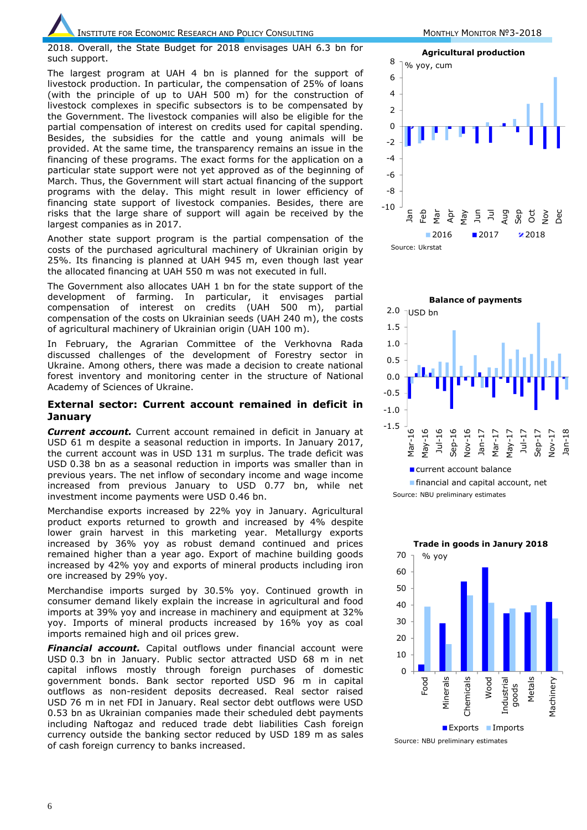2018. Overall, the State Budget for 2018 envisages UAH 6.3 bn for such support.

The largest program at UAH 4 bn is planned for the support of livestock production. In particular, the compensation of 25% of loans (with the principle of up to UAH 500 m) for the construction of livestock complexes in specific subsectors is to be compensated by the Government. The livestock companies will also be eligible for the partial compensation of interest on credits used for capital spending. Besides, the subsidies for the cattle and young animals will be provided. At the same time, the transparency remains an issue in the financing of these programs. The exact forms for the application on a particular state support were not yet approved as of the beginning of March. Thus, the Government will start actual financing of the support programs with the delay. This might result in lower efficiency of financing state support of livestock companies. Besides, there are risks that the large share of support will again be received by the largest companies as in 2017.

Another state support program is the partial compensation of the costs of the purchased agricultural machinery of Ukrainian origin by 25%. Its financing is planned at UAH 945 m, even though last year the allocated financing at UAH 550 m was not executed in full.

The Government also allocates UAH 1 bn for the state support of the development of farming. In particular, it envisages partial compensation of interest on credits (UAH 500 m), partial compensation of the costs on Ukrainian seeds (UAH 240 m), the costs of agricultural machinery of Ukrainian origin (UAH 100 m).

In February, the Agrarian Committee of the Verkhovna Rada discussed challenges of the development of Forestry sector in Ukraine. Among others, there was made a decision to create national forest inventory and monitoring center in the structure of National Academy of Sciences of Ukraine.

#### **External sector: Current account remained in deficit in January**

*Current account.* Current account remained in deficit in January at USD 61 m despite a seasonal reduction in imports. In January 2017, the current account was in USD 131 m surplus. The trade deficit was USD 0.38 bn as a seasonal reduction in imports was smaller than in previous years. The net inflow of secondary income and wage income increased from previous January to USD 0.77 bn, while net investment income payments were USD 0.46 bn.

Merchandise exports increased by 22% yoy in January. Agricultural product exports returned to growth and increased by 4% despite lower grain harvest in this marketing year. Metallurgy exports increased by 36% yoy as robust demand continued and prices remained higher than a year ago. Export of machine building goods increased by 42% yoy and exports of mineral products including iron ore increased by 29% yoy.

Merchandise imports surged by 30.5% yoy. Continued growth in consumer demand likely explain the increase in agricultural and food imports at 39% yoy and increase in machinery and equipment at 32% yoy. Imports of mineral products increased by 16% yoy as coal imports remained high and oil prices grew.

*Financial account.* Capital outflows under financial account were USD 0.3 bn in January. Public sector attracted USD 68 m in net capital inflows mostly through foreign purchases of domestic government bonds. Bank sector reported USD 96 m in capital outflows as non-resident deposits decreased. Real sector raised USD 76 m in net FDI in January. Real sector debt outflows were USD 0.53 bn as Ukrainian companies made their scheduled debt payments including Naftogaz and reduced trade debt liabilities Cash foreign currency outside the banking sector reduced by USD 189 m as sales of cash foreign currency to banks increased.





Source: NBU preliminary estimates



Source: NBU preliminary estimates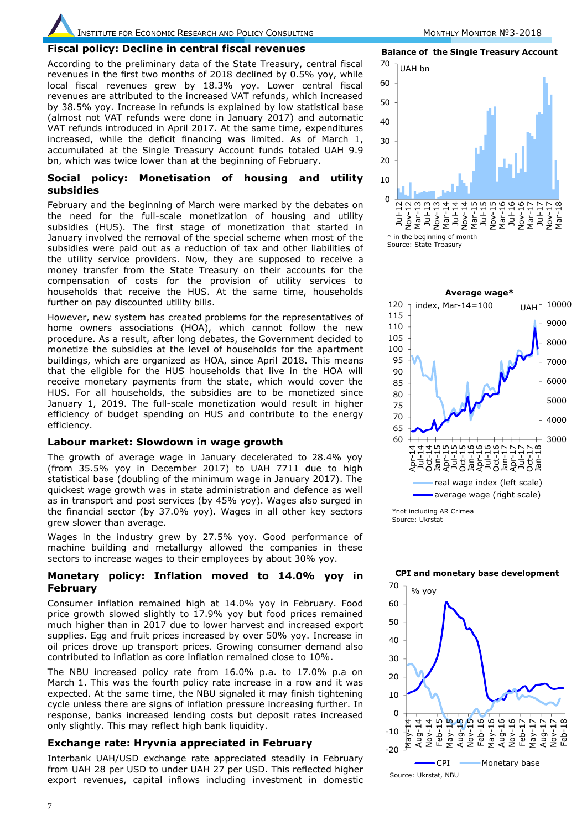INSTITUTE FOR ECONOMIC RESEARCH AND POLICY CONSULTING MONTHLY MONITOR №3-2018

#### **Fiscal policy: Decline in central fiscal revenues**

According to the preliminary data of the State Treasury, central fiscal revenues in the first two months of 2018 declined by 0.5% yoy, while local fiscal revenues grew by 18.3% yoy. Lower central fiscal revenues are attributed to the increased VAT refunds, which increased by 38.5% yoy. Increase in refunds is explained by low statistical base (almost not VAT refunds were done in January 2017) and automatic VAT refunds introduced in April 2017. At the same time, expenditures increased, while the deficit financing was limited. As of March 1, accumulated at the Single Treasury Account funds totaled UAH 9.9 bn, which was twice lower than at the beginning of February.

#### **Social policy: Monetisation of housing and utility subsidies**

February and the beginning of March were marked by the debates on the need for the full-scale monetization of housing and utility subsidies (HUS). The first stage of monetization that started in January involved the removal of the special scheme when most of the subsidies were paid out as a reduction of tax and other liabilities of the utility service providers. Now, they are supposed to receive a money transfer from the State Treasury on their accounts for the compensation of costs for the provision of utility services to households that receive the HUS. At the same time, households further on pay discounted utility bills.

However, new system has created problems for the representatives of home owners associations (HOA), which cannot follow the new procedure. As a result, after long debates, the Government decided to monetize the subsidies at the level of households for the apartment buildings, which are organized as HOA, since April 2018. This means that the eligible for the HUS households that live in the HOA will receive monetary payments from the state, which would cover the HUS. For all households, the subsidies are to be monetized since January 1, 2019. The full-scale monetization would result in higher efficiency of budget spending on HUS and contribute to the energy efficiency.

#### **Labour market: Slowdown in wage growth**

The growth of average wage in January decelerated to 28.4% yoy (from 35.5% yoy in December 2017) to UAH 7711 due to high statistical base (doubling of the minimum wage in January 2017). The quickest wage growth was in state administration and defence as well as in transport and post services (by 45% yoy). Wages also surged in the financial sector (by 37.0% yoy). Wages in all other key sectors grew slower than average.

Wages in the industry grew by 27.5% yoy. Good performance of machine building and metallurgy allowed the companies in these sectors to increase wages to their employees by about 30% yoy.

#### **Monetary policy: Inflation moved to 14.0% yoy in February**

Consumer inflation remained high at 14.0% yoy in February. Food price growth slowed slightly to 17.9% yoy but food prices remained much higher than in 2017 due to lower harvest and increased export supplies. Egg and fruit prices increased by over 50% yoy. Increase in oil prices drove up transport prices. Growing consumer demand also contributed to inflation as core inflation remained close to 10%.

The NBU increased policy rate from 16.0% p.a. to 17.0% p.a on March 1. This was the fourth policy rate increase in a row and it was expected. At the same time, the NBU signaled it may finish tightening cycle unless there are signs of inflation pressure increasing further. In response, banks increased lending costs but deposit rates increased only slightly. This may reflect high bank liquidity.

#### **Exchange rate: Hryvnia appreciated in February**

Interbank UAH/USD exchange rate appreciated steadily in February from UAH 28 per USD to under UAH 27 per USD. This reflected higher export revenues, capital inflows including investment in domestic

**Balance of the Single Treasury Account**



Source: State Treasury



Source: Ukrstat Source:



#### **CPI and monetary base development**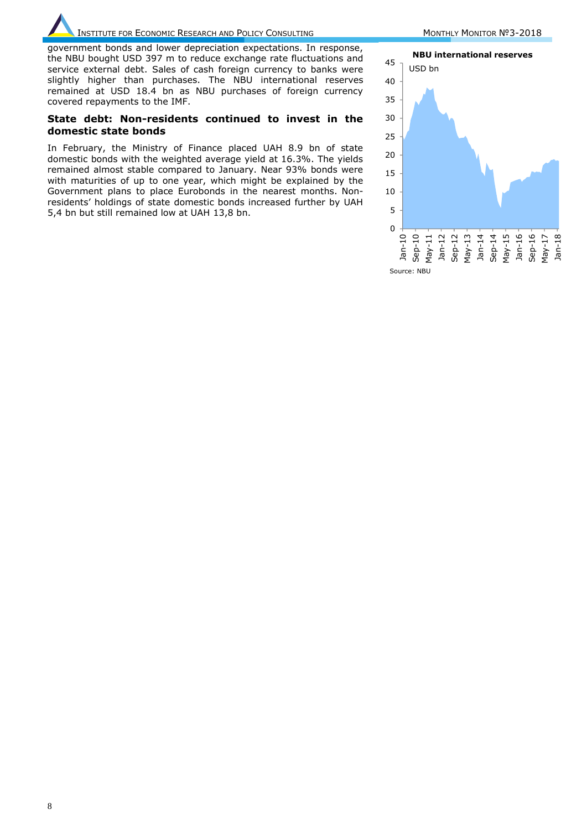INSTITUTE FOR ECONOMIC RESEARCH AND POLICY CONSULTING MONTHLY MONTHLY MONITOR Nº3-2018

government bonds and lower depreciation expectations. In response, the NBU bought USD 397 m to reduce exchange rate fluctuations and service external debt. Sales of cash foreign currency to banks were slightly higher than purchases. The NBU international reserves remained at USD 18.4 bn as NBU purchases of foreign currency covered repayments to the IMF.

#### **State debt: Non-residents continued to invest in the domestic state bonds**

In February, the Ministry of Finance placed UAH 8.9 bn of state domestic bonds with the weighted average yield at 16.3%. The yields remained almost stable compared to January. Near 93% bonds were with maturities of up to one year, which might be explained by the Government plans to place Eurobonds in the nearest months. Nonresidents' holdings of state domestic bonds increased further by UAH 5,4 bn but still remained low at UAH 13,8 bn.



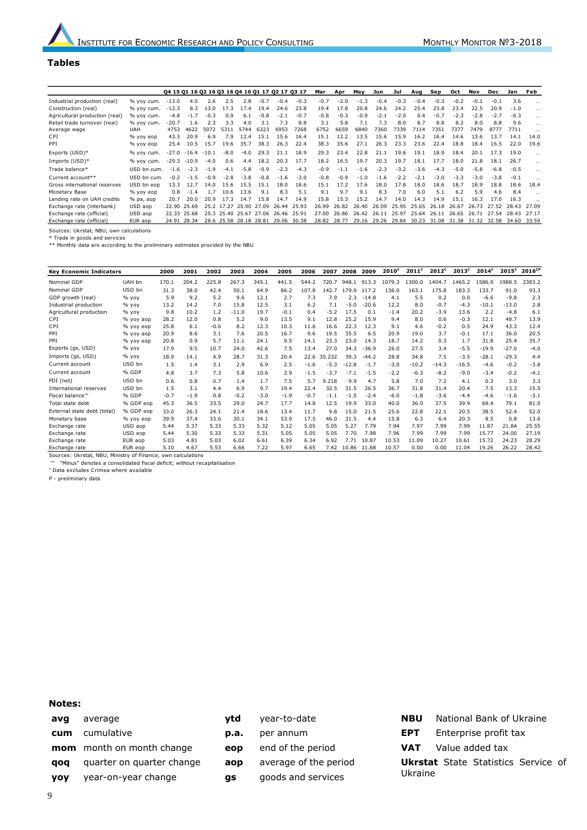#### **Tables**

|                                         |             | 04 15 01 16 02 16 03 16 04 16 01 17 02 17 03 17 |                     |        |                        |        |        |        |        | Mar    | Apr    | May    | Jun    | Jul    | Aug    | Sep    | Oct    | Nov    | Dec    | Jan    | Feb      |
|-----------------------------------------|-------------|-------------------------------------------------|---------------------|--------|------------------------|--------|--------|--------|--------|--------|--------|--------|--------|--------|--------|--------|--------|--------|--------|--------|----------|
| Industrial production (real)            | % vov cum.  | $-13.0$                                         | 4.5                 | 2.6    | 2.5                    | 2.8    | $-0.7$ | $-0.4$ | $-0.3$ | $-0.7$ | $-2.0$ | $-1.3$ | $-0.4$ | $-0.3$ | $-0.4$ | $-0.3$ | $-0.2$ | $-0.1$ | $-0.1$ | 3.6    |          |
| Construction (real)                     | % vov cum.  | $-12.3$                                         | 8.3                 | 13.0   | 17.3                   | 17.4   | 19.4   | 24.6   | 23.8   | 19.4   | 17.8   | 20.8   | 24.6   | 24.2   | 25.4   | 23.8   | 23.4   | 22.5   | 20.9   | $-1.0$ | $\cdots$ |
| Agricultural production (real)          | % vov cum.  | $-4.8$                                          | $-1.7$              | $-0.3$ | 0.9                    | 6.1    | $-0.8$ | $-2.1$ | $-0.7$ | $-0.8$ | $-0.3$ | $-0.9$ | $-2.1$ | $-2.0$ | 0.4    | $-0.7$ | $-2.3$ | $-2.8$ | $-2.7$ | $-0.3$ | $\cdots$ |
| Retail trade turnover (real)            | % vov cum.  | $-20.7$                                         | 1.6                 | 2.3    | 3.3                    | 4.0    | 3.1    | 7.3    | 8.8    | 3.1    | 5.8    | 7.1    | 7.3    | 8.0    | 8.7    | 8.8    | 8.2    | 8.0    | 8.8    | 9.6    | $\cdots$ |
| Average wage                            | <b>UAH</b>  | 4753                                            | 4622                | 5072   | 5311                   | 5744   | 6323   | 6953   | 7268   | 6752   | 6659   | 6840   | 7360   | 7339   | 7114   | 7351   | 7377   | 7479   | 8777   | 7711   | $\cdots$ |
| C <sub>PT</sub>                         | % vov eop   | 43.3                                            | 20.9                | 6.9    | 7.9                    | 12.4   | 15.1   | 15.6   | 16.4   | 15.1   | 12.2   | 13.5   | 15.6   | 15.9   | 16.2   | 16.4   | 14.6   | 13.6   | 13.7   | 14.1   | 14.0     |
| PPT                                     | % yoy eop   | 25.4                                            | 10.5                | 15.7   | 19.6                   | 35.7   | 38.3   | 26.3   | 22.4   | 38.3   | 35.6   | 27.1   | 26.3   | 23.3   | 23.6   | 22.4   | 18.8   | 18.4   | 16.5   | 22.0   | 19.6     |
| Exports (USD)*                          | % yoy cum.  |                                                 | $-27.0 -16.4 -10.1$ |        | $-8.0$                 | $-4.0$ | 29.3   | 21.1   | 18.9   | 29.3   | 23.4   | 22.8   | 21.1   | 19.6   | 19.1   | 18.9   | 18.4   | 20.1   | 17.3   | 19.0   |          |
| Imports (USD)*                          | % yoy cum.  |                                                 | $-29.3 - 10.9$      | $-4.0$ | 0.6                    | 4.4    | 18.2   | 20.3   | 17.7   | 18.2   | 16.5   | 19.7   | 20.3   | 19.7   | 18.1   | 17.7   | 18.0   | 21.8   | 18.1   | 26.7   |          |
| Trade balance*                          | USD bn cum. | $-1.6$                                          | $-2.3$              | $-1.9$ | $-4.1$                 | $-5.8$ | $-0.9$ | $-2.3$ | $-4.3$ | $-0.9$ | $-1.1$ | $-1.6$ | $-2.3$ | $-3.2$ | $-3.6$ | $-4.3$ | $-5.0$ | $-5.8$ | $-6.8$ | $-0.5$ | $\cdots$ |
| Current account**                       | USD bn cum. | $-0.2$                                          | $-1.5$              | $-0.9$ | $-2.8$                 | $-3.8$ | $-0.8$ | $-1.6$ | $-3.0$ | $-0.8$ | $-0.9$ | $-1.0$ | $-1.6$ | $-2.2$ | $-2.1$ | $-3.0$ | $-3.3$ | $-3.0$ | $-3.8$ | $-0.1$ |          |
| Gross international reserves            | USD bn eop  | 13.3                                            | 12.7                | 14.0   | 15.6                   | 15.5   | 15.1   | 18.0   | 18.6   | 15.1   | 17.2   | 17.6   | 18.0   | 17.8   | 18.0   | 18.6   | 18.7   | 18.9   | 18.8   | 18.6   | 18.4     |
| Monetary Base                           | % yoy eop   | 0.8                                             | $-1.4$              | 1.7    | 10.6                   | 13.6   | 9.1    | 8.3    | 5.1    | 9.1    | 9.7    | 9.1    | 8.3    | 7.0    | 6.0    | 5.1    | 6.2    | 5.9    | 4.6    | 8.4    |          |
| Lending rate on UAH credits             | % pa, aop   | 20.7                                            | 20.0                | 20.9   | 17.3                   | 14.7   | 15.8   | 14.7   | 14.9   | 15.8   | 15.3   | 15.2   | 14.7   | 14.0   | 14.3   | 14.9   | 15.1   | 16.3   | 17.0   | 16.3   |          |
| Exchange rate (interbank)               | USD aop     | 22.90                                           | 25.69               |        | 25.2 17.27             | 25.90  | 27.09  | 26.44  | 25.93  | 26.99  | 26.82  | 26.40  | 26.09  | 25.95  | 25.65  | 26.18  | 26.67  | 26.73  | 27.52  | 28.43  | 27.09    |
| Exchange rate (official)                | USD aop     | 22.33                                           | 25.68               |        | 25.3 25.40 25.67       |        | 27.06  | 26.46  | 25.91  | 27.00  | 26.86  | 26.42  | 26.11  | 25.97  | 25.64  | 26.11  | 26.65  | 26.71  | 27.54  | 28.43  | 27.17    |
| Exchange rate (official)                | EUR aop     | 24.91                                           | 28.34               |        | 28.6 25.58 28.18 28.81 |        |        | 29.06  | 30.38  | 28.82  | 28.77  | 29.16  | 29.26  | 29.84  | 30.23  | 31.08  | 31.38  | 31.32  | 32.58  | 34.60  | 33.59    |
| Sources: Ukrstat, NBU, own calculations |             |                                                 |                     |        |                        |        |        |        |        |        |        |        |        |        |        |        |        |        |        |        |          |

\* Trade in goods and services \*\* Monthly data are according to the preliminary estimates provided by the NBU

| <b>Key Economic Indicators</b>                            |           | 2000   | 2001   | 2002   | 2003    | 2004   | 2005   | 2006   | 2007   | 2008    | 2009    | $2010^{\circ}$ | 2011 <sup>c</sup> | $2012^c$ | 2013 <sup>c</sup> | $2014^c$ | $2015^c$ | 2016 <sup>CP</sup> |
|-----------------------------------------------------------|-----------|--------|--------|--------|---------|--------|--------|--------|--------|---------|---------|----------------|-------------------|----------|-------------------|----------|----------|--------------------|
| Nominal GDP                                               | UAH bn    | 170.1  | 204.2  | 225.8  | 267.3   | 345.1  | 441.5  | 544.2  | 720.7  | 948.1   | 913.3   | 1079.3         | 1300.0            | 1404.7   | 1465.2            | 1586.9   | 1988.5   | 2383.2             |
| Nominal GDP                                               | USD bn    | 31.3   | 38.0   | 42.4   | 50.1    | 64.9   | 86.2   | 107.8  | 142.7  | 179.9   | 117.2   | 136.0          | 163.1             | 175.8    | 183.3             | 133.7    | 91.0     | 93.3               |
| GDP growth (real)                                         | $%$ yoy   | 5.9    | 9.2    | 5.2    | 9.6     | 12.1   | 2.7    | 7.3    | 7.9    | 2.3     | $-14.8$ | 4.1            | 5.5               | 0.2      | 0.0               | $-6.6$   | $-9.8$   | 2.3                |
| Industrial production                                     | $%$ yoy   | 13.2   | 14.2   | 7.0    | 15.8    | 12.5   | 3.1    | 6.2    | 7.1    | $-5.0$  | $-20.6$ | 12.2           | 8.0               | $-0.7$   | $-4.3$            | $-10.1$  | $-13.0$  | 2.8                |
| Agricultural production                                   | $%$ yoy   | 9.8    | 10.2   | 1.2    | $-11.0$ | 19.7   | $-0.1$ | 0.4    | $-5.2$ | 17.5    | 0.1     | $-1.4$         | 20.2              | $-3.9$   | 13.6              | 2.2      | $-4.8$   | 6.1                |
| CPI                                                       | % yoy aop | 28.2   | 12.0   | 0.8    | 5.2     | 9.0    | 13.5   | 9.1    | 12.8   | 25.2    | 15.9    | 9.4            | 8.0               | 0.6      | $-0.3$            | 12.1     | 48.7     | 13.9               |
| CPI                                                       | % yoy eop | 25.8   | 6.1    | $-0.6$ | 8.2     | 12.3   | 10.3   | 11.6   | 16.6   | 22.3    | 12.3    | 9.1            | 4.6               | $-0.2$   | 0.5               | 24.9     | 43.3     | 12.4               |
| PPI                                                       | % yoy aop | 20.9   | 8.6    | 3.1    | 7.6     | 20.5   | 16.7   | 9.6    | 19.5   | 35.5    | 6.5     | 20.9           | 19.0              | 3.7      | $-0.1$            | 17.1     | 36.0     | 20.5               |
| PPI                                                       | % yoy eop | 20.8   | 0.9    | 5.7    | 11.1    | 24.1   | 9.5    | 14.1   | 23.3   | 23.0    | 14.3    | 18.7           | 14.2              | 0.3      | 1.7               | 31.8     | 25.4     | 35.7               |
| Exports (gs, USD)                                         | $%$ yoy   | 17.9   | 9.5    | 10.7   | 24.0    | 42.6   | 7.5    | 13.4   | 27.0   | 34.3    | $-36.9$ | 26.0           | 27.5              | 3.4      | $-5.5$            | $-19.9$  | $-27.0$  | $-4.0$             |
| Imports (gs, USD)                                         | $%$ yoy   | 18.9   | 14.1   | 4.9    | 28.7    | 31.3   | 20.4   | 22.6   | 35.232 | 39.3    | $-44.2$ | 28.8           | 34.8              | 7.5      | $-3.5$            | $-28.1$  | $-29.3$  | 4.4                |
| Current account                                           | USD bn    | 1.5    | 1.4    | 3.1    | 2.9     | 6.9    | 2.5    | $-1.6$ | $-5.3$ | $-12.8$ | $-1.7$  | $-3.0$         | $-10.2$           | $-14.3$  | $-16.5$           | $-4.6$   | $-0.2$   | $-3.8$             |
| Current account                                           | % GDP     | 4.8    | 3.7    | 7.3    | 5.8     | 10.6   | 2.9    | $-1.5$ | $-3.7$ | $-7.1$  | $-1.5$  | $-2.2$         | $-6.3$            | $-8.2$   | $-9.0$            | $-3.4$   | $-0.2$   | $-4.1$             |
| FDI (net)                                                 | USD bn    | 0.6    | 0.8    | 0.7    | 1.4     | 1.7    | 7.5    | 5.7    | 9.218  | 9.9     | 4.7     | 5.8            | 7.0               | 7.2      | 4.1               | 0.3      | 3.0      | 3.3                |
| International reserves                                    | USD bn    | 1.5    | 3.1    | 4.4    | 6.9     | 9.7    | 19.4   | 22.4   | 32.5   | 31.5    | 26.5    | 36.7           | 31.8              | 31.4     | 20.4              | 7.5      | 13.3     | 15.5               |
| Fiscal balance"                                           | % GDP     | $-0.7$ | $-1.9$ | 0.8    | $-0.2$  | $-3.0$ | $-1.9$ | $-0.7$ | $-1.1$ | $-1.5$  | $-2.4$  | $-6.0$         | $-1.8$            | $-3.6$   | $-4.4$            | $-4.6$   | $-1.6$   | $-3.1$             |
| Total state debt                                          | % GDP eop | 45.3   | 36.5   | 33.5   | 29.0    | 24.7   | 17.7   | 14.8   | 12.5   | 19.9    | 33.0    | 40.0           | 36.0              | 37.5     | 39.9              | 69.4     | 79.1     | 81.0               |
| External state debt (total)                               | % GDP eop | 33.0   | 26.3   | 24.1   | 21.4    | 18.6   | 13.4   | 11.7   | 9.8    | 15.0    | 21.5    | 25.6           | 22.8              | 22.1     | 20.5              | 38.5     | 52.4     | 52.0               |
| Monetary base                                             | % vov eop | 39.9   | 37.4   | 33.6   | 30.1    | 34.1   | 53.9   | 17.5   | 46.0   | 31.5    | 4.4     | 15.8           | 6.3               | 6.4      | 20.3              | 8.5      | 0.8      | 13.6               |
| Exchange rate                                             | USD aop   | 5.44   | 5.37   | 5.33   | 5.33    | 5.32   | 5.12   | 5.05   | 5.05   | 5.27    | 7.79    | 7.94           | 7.97              | 7.99     | 7.99              | 11.87    | 21.84    | 25.55              |
| Exchange rate                                             | USD eop   | 5.44   | 5.30   | 5.33   | 5.33    | 5.31   | 5.05   | 5.05   | 5.05   | 7.70    | 7.98    | 7.96           | 7.99              | 7.99     | 7.99              | 15.77    | 24.00    | 27.19              |
| Exchange rate                                             | EUR aop   | 5.03   | 4.81   | 5.03   | 6.02    | 6.61   | 6.39   | 6.34   | 6.92   | 7.71    | 10.87   | 10.53          | 11.09             | 10.27    | 10.61             | 15.72    | 24.23    | 28.29              |
| Exchange rate                                             | EUR eop   | 5.10   | 4.67   | 5.53   | 6.66    | 7.22   | 5.97   | 6.65   | 7.42   | 10.86   | 11.68   | 10.57          | 0.00              | 0.00     | 11.04             | 19.26    | 26.22    | 28.42              |
| Cources Ukretat NRU Ministry of Finance, own calculations |           |        |        |        |         |        |        |        |        |         |         |                |                   |          |                   |          |          |                    |

Sources: Ukrstat, NBU, Ministry of Finance, own calculations ''' "Minus" denotes a consolidated fiscal deficit; without recapitalisation

<sup>c</sup> Data excludes Crimea where available

P - preliminary data

#### **Notes:**

- **avg** average **cum** cumulative **mom** month on month change **qoq** quarter on quarter change **yoy** year-on-year change
- **p.a.** per annum
	- **eop** end of the period
	- **aop** average of the period

**ytd** year-to-date

- **gs** goods and services
- **NBU** National Bank of Ukraine **EPT** Enterprise profit tax **VAT** Value added tax **Ukrstat** State Statistics Service of Ukraine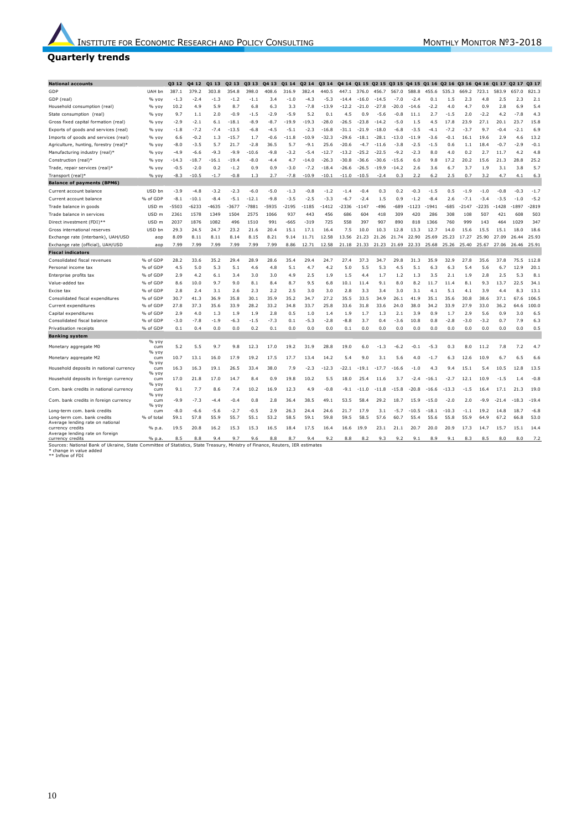#### **Quarterly trends**

| <b>National accounts</b>                                                                                                                                                     |                   | Q3 12          | Q4 12          | Q1 13          | Q <sub>2</sub> 13 | Q3 13        | Q4 13       | Q1 14        | Q2 14        | Q3 14        |              |              |             |                | Q4 14 Q1 15 Q2 15 Q3 15 Q4 15 Q1 16 Q2 16 |                 |                 | Q3 16 Q4 16 Q1 17 |              |              | Q2 17 Q3 17  |                |
|------------------------------------------------------------------------------------------------------------------------------------------------------------------------------|-------------------|----------------|----------------|----------------|-------------------|--------------|-------------|--------------|--------------|--------------|--------------|--------------|-------------|----------------|-------------------------------------------|-----------------|-----------------|-------------------|--------------|--------------|--------------|----------------|
| GDP                                                                                                                                                                          | UAH bn            | 387.1          | 379.2          | 303.8          | 354.8             | 398.0        | 408.6       | 316.9        | 382.4        | 440.5        | 447.1        | 376.0        | 456.7       | 567.0          | 588.8                                     | 455.6           | 535.3           | 669.2             | 723.1        | 583.9        | 657.0        | 821.3          |
| GDP (real)                                                                                                                                                                   | % yoy             | $-1.3$         | $-2.4$         | $-1.3$         | $-1.2$            | $-1.1$       | 3.4         | $-1.0$       | $-4.3$       | $-5.3$       | $-14.4$      | $-16.0$      | $-14.5$     | $-7.0$         | $-2.4$                                    | 0.1             | 1.5             | 2.3               | 4.8          | 2.5          | 2.3          | 2.1            |
| Household consumption (real)                                                                                                                                                 | % yoy             | 10.2           | 4.9            | 5.9            | 8.7               | 6.8          | 6.3         | 3.3          | $-7.8$       | $-13.9$      | $-12.2$      | $-21.0$      | $-27.8$     | $-20.0$        | $-14.6$                                   | $-2.2$          | 4.0             | 4.7               | 0.9          | 2.8          | 6.9          | 5.4            |
| State consumption (real)                                                                                                                                                     | % yoy             | 9.7            | 1.1            | 2.0            | $-0.9$            | $-1.5$       | $-2.9$      | $-5.9$       | 5.2          | 0.1          | 4.5          | 0.9          | $-5.6$      | $-0.8$         | 11.1                                      | 2.7             | $-1.5$          | 2.0               | $-2.2$       | 4.2          | $-7.8$       | 4.3            |
| Gross fixed capital formation (real)                                                                                                                                         | % yoy             | $-2.9$         | $-2.1$         | 6.1            | $-18.1$           | $-8.9$       | $-8.7$      | $-19.9$      | $-19.3$      | $-28.0$      | $-26.5$      | $-23.8$      | $-14.2$     | $-5.0$         | 1.5                                       | 4.5             | 17.8            | 23.9              | 27.1         | 20.1         | 23.7         | 15.8           |
| Exports of goods and services (real)                                                                                                                                         | % yoy             | -1.8           | $-7.2$         | $-7.4$         | $-13.5$           | -6.8         | -4.5        | $-5.1$       | $-2.3$       | $-16.8$      | $-31.1$      | $-21.9$      | $-18.0$     | $-6.8$         | $-3.5$                                    | -4.1            | $-7.2$          | $-3.7$            | 9.7          | $-0.4$       | $-2.1$       | 6.9            |
| Imports of goods and services (real)                                                                                                                                         | % yoy             | 6.6            | $-0.2$         | 1.3            | $-15.7$           | 1.7          | $-0.6$      | $-11.8$      | $-10.9$      | $-32.3$      | $-29.6$      | $-18.1$      | $-28.1$     | $-13.0$        | $-11.9$                                   | $-3.6$          | $-0.1$          | 16.1              | 19.6         | 2.9          | 4.6          | 13.2           |
| Agriculture, hunting, forestry (real)*                                                                                                                                       | % yoy             | $-8.0$         | $-3.5$         | 5.7            | 21.7              | $-2.8$       | 36.5        | 5.7          | $-9.1$       | 25.6         | $-20.6$      | $-4.7$       | $-11.6$     | $-3.8$         | $-2.5$                                    | $-1.5$          | 0.6             | 1.1               | 18.4         | $-0.7$       | $-2.9$       | $-0.1$         |
| Manufacturing industry (real)*                                                                                                                                               | % yoy             | -4.9           | $-6.6$         | $-9.3$         | $-9.9$            | $-10.6$      | $-9.8$      | $-3.2$       | $-5.4$       | $-12.7$      | $-13.2$      | $-25.2$      | $-22.5$     | $-9.2$         | $-2.3$                                    | 8.0             | 4.0             | 0.2               | 2.7          | 11.7         | 4.2          | 4.8            |
| Construction (real)*                                                                                                                                                         | % yoy             | $-14.3$        | $-18.7$        | $-16.1$        | $-19.4$           | $-8.0$       | $-4.4$      | 4.7          | $-14.0$      | $-26.3$      | $-30.8$      | $-36.6$      | $-30.6$     | $-15.6$        | 6.0                                       | 9.8             | 17.2            | 20.2              | 15.6         | 21.3         | 28.8         | 25.2           |
| Trade, repair services (real)*                                                                                                                                               | % vov             | $-0.5$         | $-2.0$         | 0.2            | $-1.2$            | 0.9          | 0.9         | $-3.0$       | $-7.2$       | $-18.4$      | $-26.6$      | $-26.5$      | $-19.9$     | $-14.2$        | 2.6                                       | 3.6             | 6.7             | 3.7               | 1.9          | 3.1          | 3.8          | 5.7            |
| Transport (real)*                                                                                                                                                            | % yoy             | $-8.3$         | $-10.5$        | $-1.7$         | $-0.8$            | 1.3          | 2.7         | $-7.8$       | $-10.9$      | $-10.1$      | $-11.0$      | $-10.5$      | $-2.4$      | 0.3            | 2.2                                       | 6.2             | 2.5             | 0.7               | 3.2          | 4.7          | 4.1          | 6.3            |
| <b>Balance of payments (BPM6)</b>                                                                                                                                            |                   |                |                |                |                   |              |             |              |              |              |              |              |             |                |                                           |                 |                 |                   |              |              |              |                |
| Current account balance                                                                                                                                                      | USD bn            | $-3.9$         | $-4.8$         | $-3.2$         | $-2.3$            | $-6.0$       | $-5.0$      | $-1.3$       | $-0.8$       | $-1.2$       | $-1.4$       | $-0.4$       | 0.3         | 0.2            | $-0.3$                                    | $-1.5$          | 0.5             | $-1.9$            | $-1.0$       | $-0.8$       | $-0.3$       | $-1.7$         |
| Current account balance                                                                                                                                                      | % of GDP          | $-8.1$         | $-10.1$        | $-8.4$         | $-5.1$            | $-12.1$      | $-9.8$      | $-3.5$       | $-2.5$       | $-3.3$       | $-6.7$       | $-2.4$       | 1.5         | 0.9            | $-1.2$                                    | $-8.4$          | 2.6             | $-7.1$            | $-3.4$       | $-3.5$       | $-1.0$       | $-5.2$         |
| Trade balance in goods                                                                                                                                                       | USD <sub>m</sub>  | -5503          | $-6233$        | $-4635$        | $-3677$           | $-7881$      | -5935       | $-2195$      | $-1185$      | 1412         | $-2336$      | $-1147$      | $-496$      | $-689$         | $-1123$                                   | $-1941$         | $-685$          | $-2147$           | $-2235$      | $-1428$      | $-1897$      | $-2819$        |
| Trade balance in services                                                                                                                                                    | USD <sub>m</sub>  | 2361           | 1578           | 1349           | 1504              | 2575         | 1066        | 937          | 443          | 456          | 686          | 604          | 418         | 309            | 420                                       | 286             | 308             | 108               | 507          | 421          | 608          | 503            |
| Direct investment (FDI)**                                                                                                                                                    | USD <sub>m</sub>  | 2037           | 1876           | 1082           | 496               | 1510         | 991         | $-665$       | $-319$       | 725          | 558          | 397          | 907         | 890            | 818                                       | 1366            | 760             | 999               | 143          | 464          | 1029         | 347            |
| Gross international reserves                                                                                                                                                 | USD bn            | 29.3           | 24.5           | 24.7           | 23.2              | 21.6         | 20.4        | 15.1         | 17.1         | 16.4         | 7.5          | 10.0         | 10.3        | 12.8           | 13.3                                      | 12.7            | 14.0            | 15.6              | 15.5         | 15.1         | 18.0         | 18.6           |
| Exchange rate (interbank), UAH/USD                                                                                                                                           | aon               | 8.09           | 8.11           | 8.11           | 8.14              | 8.15         | 8.21        | 9.14         | 11.71        | 12.58        | 13.56        | 21<br>.23    | 21.26       | 21.74          | 22.90                                     | 25.69           | 25.23           | 17.27             | 25.90        | 27.09        | 26.44        | 25.93          |
| Exchange rate (official), UAH/USD                                                                                                                                            | aop               | 7.99           | 7.99           | 7.99           | 7.99              | 7.99         | 7.99        | 8.86         | 12.71        | 12.58        | 21.18        | 21.33        | 21.23       | 21.69          | 22.33                                     | 25.68           | 25.26           | 25.40             | 25.67        | 27.06 26.46  |              | 25.91          |
| <b>Fiscal indicators</b>                                                                                                                                                     |                   |                |                |                |                   |              |             |              |              |              |              |              |             |                |                                           |                 |                 |                   |              |              |              |                |
| Consolidated fiscal revenues                                                                                                                                                 | % of GDP          | 28.2           | 33.6           | 35.2           | 29.4              | 28.9         | 28.6        | 35.4         | 29.4         | 24.7         | 27.4         | 37.3         | 34.7        | 29.8           | 31.3                                      | 35.9            | 32.9            | 27.8              | 35.6         | 37.8         | 75.5         | 112.8          |
| Personal income tax                                                                                                                                                          | % of GDP          | 4.5            | 5.0            | 5.3            | 5.1               | 4.6          | 4.8         | 5.1          | 4.7          | 4.2          | 5.0          | 5.5          | 5.3         | 4.5            | 5.1                                       | 6.3             | 6.3             | 5.4               | 5.6          | 6.7          | 12.9         | 20.1           |
| Enterprise profits tax                                                                                                                                                       | % of GDP          | 2.9            | 4.2            | 6.1            | 3.4               | 3.0          | 3.0         | 4.9          | 2.5          | 1.9          | 1.5          | 4.4          | 1.7         | 1.2            | 1.3                                       | 3.5             | 2.1             | 1.9               | 2.8          | 2.5          | 5.3          | 8.1            |
| Value-added tax                                                                                                                                                              | % of GDP          | 8.6            | 10.0           | 9.7            | 9.0               | 8.1          | 8.4         | 8.7          | 9.5          | 6.8          | 10.1         | 11.4         | 9.1         | 8.0            | 8.2                                       | 11.7            | 11.4            | 8.1               | 9.3          | 13.7         | 22.5         | 34.1           |
| Excise tax                                                                                                                                                                   | % of GDP          | 2.8            | 2.4            | 3.1            | 2.6               | 2.3          | 2.2         | 2.5          | 3.0          | 3.0          | 2.8          | 3.3          | 3.4         | 3.0            | 3.1                                       | 4.1             | 5.1             | 4.1               | 3.9          | 4.4          | 8.3          | 13.1           |
| Consolidated fiscal expenditures                                                                                                                                             | % of GDP          | 30.7           | 41.3           | 36.9           | 35.8              | 30.1         | 35.9        | 35.2         | 34.7         | 27.2         | 35.5         | 33.5         | 34.9        | 26.1           | 41.9                                      | 35.1            | 35.6            | 30.8              | 38.6         | 37.1         | 67.6         | 106.5          |
| Current expenditures                                                                                                                                                         | % of GDP          | 27.8           | 37.3           | 35.6           | 33.9              | 28.2         | 33.2        | 34.8         | 33.7         | 25.8         | 33.6         | 31.8         | 33.6        | 24.0           | 38.0                                      | 34.2            | 33.9            | 27.9              | 33.0         | 36.2         | 64.6         | 100.0          |
| Capital expenditures                                                                                                                                                         | % of GDP          | 2.9            | 4.0            | 1.3            | 1.9               | 1.9          | 2.8         | 0.5          | 1.0          | 1.4          | 1.9          | 1.7          | 1.3         | 2.1            | 3.9                                       | 0.9             | 1.7             | 2.9               | 5.6          | 0.9          | 3.0          | 6.5            |
| Consolidated fiscal balance                                                                                                                                                  | % of GDP          | $-3.0$         | $-7.8$         | $-1.9$         | $-6.3$            | -1.5         | $-7.3$      | 0.1          | -5.3         | $-2.8$       | $-8.8$       | 3.7          | 0.4         | $-3.6$         | 10.8                                      | 0.8             | $-2.8$          | $-3.0$            | $-3.2$       | 0.7          | 7.9          | 6.3            |
| Privatisation receipts                                                                                                                                                       | % of GDP          | 0.1            | 0.4            | 0.0            | 0.0               | 0.2          | 0.1         | 0.0          | 0.0          | 0.0          | 0.1          | 0.0          | 0.0         | 0.0            | 0.0                                       | 0.0             | 0.0             | 0.0               | 0.0          | 0.0          | 0.0          | 0.5            |
| <b>Banking system</b>                                                                                                                                                        |                   |                |                |                |                   |              |             |              |              |              |              |              |             |                |                                           |                 |                 |                   |              |              |              |                |
|                                                                                                                                                                              | % yoy             |                |                |                |                   |              |             |              |              |              |              |              |             |                |                                           |                 |                 |                   |              |              |              |                |
| Monetary aggregate M0                                                                                                                                                        | cum               | 5.2            | 5.5            | 9.7            | 9.8               | 12.3         | 17.0        | 19.2         | 31.9         | 28.8         | 19.0         | 6.0          | $-1.3$      | -6.2           | $-0.1$                                    | $-5.3$          | 0.3             | 8.0               | 11.2         | 7.8          | 7.2          | 4.7            |
| Monetary aggregate M2                                                                                                                                                        | % yoy<br>cum      | 10.7           | 13.1           | 16.0           | 17.9              | 19.2         | 17.5        | 17.7         | 13.4         | 14.2         | 5.4          | 9.0          | 3.1         | 5.6            | 4.0                                       | $-1.7$          | 6.3             | 12.6              | 10.9         | 6.7          | 6.5          | 6.6            |
|                                                                                                                                                                              | % yoy             |                |                |                |                   |              |             |              |              |              |              |              |             |                |                                           |                 |                 |                   |              |              |              |                |
| Household deposits in national currency                                                                                                                                      | cum<br>% yoy      | 16.3           | 16.3           | 19.1           | 26.5              | 33.4         | 38.0        | 7.9          | $-2.3$       | $-12.3$      | $-22.1$      | $-19.1$      | $-17.7$     | $-16.6$        | $-1.0$                                    | 4.3             | 9.4             | 15.1              | 5.4          | 10.5         | 12.8         | 13.5           |
| Household deposits in foreign currency                                                                                                                                       | cum               | 17.0           | 21.8           | 17.0           | 14.7              | 8.4          | 0.9         | 19.8         | 10.2         | 5.5          | 18.0         | 25.4         | 11.6        | 3.7            | $-2.4$                                    | $-16.1$         | $-2.7$          | 12.1              | 10.9         | $-1.5$       | 1.4          | $-0.8$         |
|                                                                                                                                                                              | % yoy             |                |                |                |                   |              |             |              |              |              |              |              |             |                |                                           |                 |                 |                   |              |              |              |                |
| Com. bank credits in national currency                                                                                                                                       | cum<br>% yoy      | 9.1            | 7.7            | 8.6            | 7.4               | 10.2         | 16.9        | 12.3         | 4.9          | $-0.8$       | $-9.1$       | -11.0        | -11.8       | $-15.8$        | $-20.8$                                   | $-16.6$         | -13.3           | -1.5              | 16.4         | 17.1         | 21.3         | 19.0           |
| Com. bank credits in foreign currency                                                                                                                                        | cum               | -9.9           | $-7.3$         | $-4.4$         | $-0.4$            | 0.8          | 2.8         | 36.4         | 38.5         | 49.1         | 53.5         | 58.4         | 29.2        | 18.7           | 15.9                                      | $-15.0$         | $-2.0$          | 2.0               | $-9.9$       | $-21.4$      | $-18.3$      | $-19.4$        |
|                                                                                                                                                                              | % yoy             |                |                |                |                   |              |             |              |              |              |              |              |             |                |                                           |                 |                 |                   |              |              |              |                |
| Long-term com. bank credits<br>Long-term com. bank credits                                                                                                                   | cum<br>% of total | $-8.0$<br>59.1 | $-6.6$<br>57.8 | $-5.6$<br>55.9 | $-2.7$<br>55.7    | -0.5<br>55.1 | 2.9<br>53.2 | 26.3<br>58.5 | 24.4<br>59.1 | 24.6<br>59.8 | 21.7<br>59.5 | 17.9<br>58.5 | 3.1<br>57.6 | $-5.7$<br>60.7 | $-10.5$<br>55.4                           | $-18.1$<br>55.6 | $-10.3$<br>55.8 | $-1.1$<br>55.9    | 19.2<br>64.9 | 14.8<br>67.2 | 18.7<br>66.8 | $-6.8$<br>53.0 |
| Average lending rate on national                                                                                                                                             |                   |                |                |                |                   |              |             |              |              |              |              |              |             |                |                                           |                 |                 |                   |              |              |              |                |
| currency credits                                                                                                                                                             | % p.a.            | 19.5           | 20.8           | 16.2           | 15.3              | 15.3         | 16.5        | 18.4         | 17.5         | 16.4         | 16.6         | 19.9         | 23.1        | 21.1           | 20.7                                      | 20.0            | 20.9            | 17.3              | 14.7         | 15.7         | 15.1         | 14.4           |
| Average lending rate on foreign<br>currency credits                                                                                                                          |                   | 8.5            | 8.8            | $^{\circ}$     |                   | 96           |             |              |              | 9.2          | 8.8          | 8.2          | 9.3         | 9.2            | 9.1                                       | 8.9             | 9.1             | 8.3               | 8.5          | 8.0          | 8.0          | 7.2            |
| Sources: National Bank of Ukraine, State Committee of Statistics, State Treasury, Ministry of Finance, Reuters, IER estimates<br>* change in value added<br>** Inflow of FDI |                   |                |                |                |                   |              |             |              |              |              |              |              |             |                |                                           |                 |                 |                   |              |              |              |                |